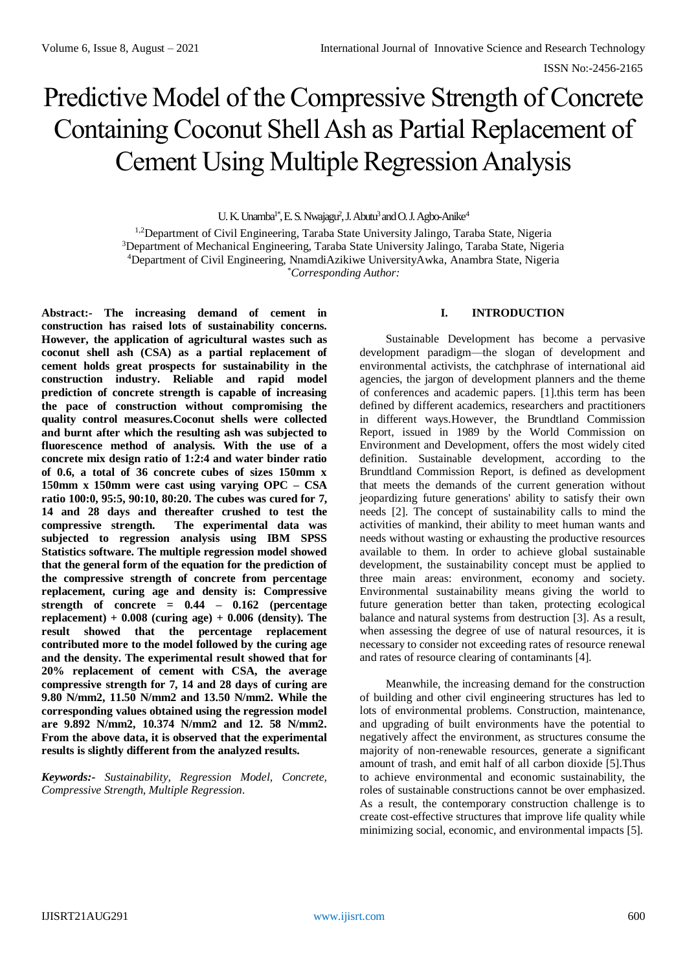# Predictive Model of the Compressive Strength of Concrete Containing Coconut Shell Ash as Partial Replacement of Cement Using Multiple Regression Analysis

#### U. K. Unamba<sup>1\*</sup>, E. S. Nwajagu<sup>2</sup>, J. Abutu<sup>3</sup> and O. J. Agbo-Anike<sup>4</sup>

1,2Department of Civil Engineering, Taraba State University Jalingo, Taraba State, Nigeria <sup>3</sup>Department of Mechanical Engineering, Taraba State University Jalingo, Taraba State, Nigeria <sup>4</sup>Department of Civil Engineering, NnamdiAzikiwe UniversityAwka, Anambra State, Nigeria *\*Corresponding Author:*

**Abstract:- The increasing demand of cement in construction has raised lots of sustainability concerns. However, the application of agricultural wastes such as coconut shell ash (CSA) as a partial replacement of cement holds great prospects for sustainability in the construction industry. Reliable and rapid model prediction of concrete strength is capable of increasing the pace of construction without compromising the quality control measures.Coconut shells were collected and burnt after which the resulting ash was subjected to fluorescence method of analysis. With the use of a concrete mix design ratio of 1:2:4 and water binder ratio of 0.6, a total of 36 concrete cubes of sizes 150mm x 150mm x 150mm were cast using varying OPC – CSA ratio 100:0, 95:5, 90:10, 80:20. The cubes was cured for 7, 14 and 28 days and thereafter crushed to test the compressive strength. The experimental data was subjected to regression analysis using IBM SPSS Statistics software. The multiple regression model showed that the general form of the equation for the prediction of the compressive strength of concrete from percentage replacement, curing age and density is: Compressive strength of concrete = 0.44 – 0.162 (percentage**  replacement)  $+0.008$  (curing age)  $+0.006$  (density). The **result showed that the percentage replacement contributed more to the model followed by the curing age and the density. The experimental result showed that for 20% replacement of cement with CSA, the average compressive strength for 7, 14 and 28 days of curing are 9.80 N/mm2, 11.50 N/mm2 and 13.50 N/mm2. While the corresponding values obtained using the regression model are 9.892 N/mm2, 10.374 N/mm2 and 12. 58 N/mm2. From the above data, it is observed that the experimental results is slightly different from the analyzed results.**

*Keywords:- Sustainability, Regression Model, Concrete, Compressive Strength, Multiple Regression.*

# **I. INTRODUCTION**

Sustainable Development has become a pervasive development paradigm—the slogan of development and environmental activists, the catchphrase of international aid agencies, the jargon of development planners and the theme of conferences and academic papers. [1].this term has been defined by different academics, researchers and practitioners in different ways.However, the Brundtland Commission Report, issued in 1989 by the World Commission on Environment and Development, offers the most widely cited definition. Sustainable development, according to the Brundtland Commission Report, is defined as development that meets the demands of the current generation without jeopardizing future generations' ability to satisfy their own needs [2]. The concept of sustainability calls to mind the activities of mankind, their ability to meet human wants and needs without wasting or exhausting the productive resources available to them. In order to achieve global sustainable development, the sustainability concept must be applied to three main areas: environment, economy and society. Environmental sustainability means giving the world to future generation better than taken, protecting ecological balance and natural systems from destruction [3]. As a result, when assessing the degree of use of natural resources, it is necessary to consider not exceeding rates of resource renewal and rates of resource clearing of contaminants [4].

Meanwhile, the increasing demand for the construction of building and other civil engineering structures has led to lots of environmental problems. Construction, maintenance, and upgrading of built environments have the potential to negatively affect the environment, as structures consume the majority of non-renewable resources, generate a significant amount of trash, and emit half of all carbon dioxide [5].Thus to achieve environmental and economic sustainability, the roles of sustainable constructions cannot be over emphasized. As a result, the contemporary construction challenge is to create cost-effective structures that improve life quality while minimizing social, economic, and environmental impacts [5].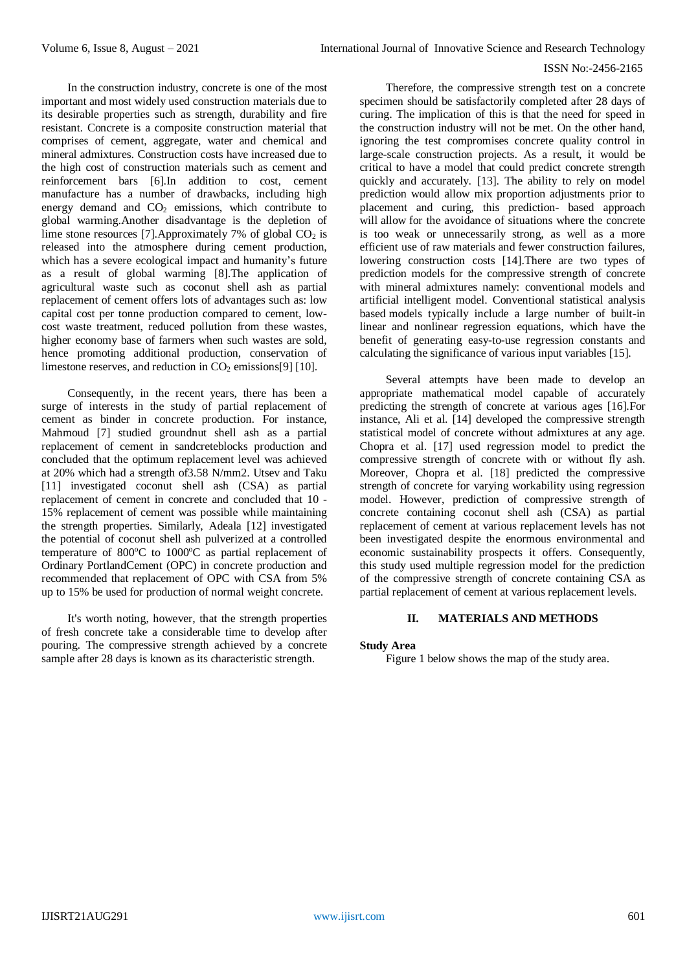In the construction industry, concrete is one of the most important and most widely used construction materials due to its desirable properties such as strength, durability and fire resistant. Concrete is a composite construction material that comprises of cement, aggregate, water and chemical and mineral admixtures. Construction costs have increased due to the high cost of construction materials such as cement and reinforcement bars [6].In addition to cost, cement manufacture has a number of drawbacks, including high energy demand and  $CO<sub>2</sub>$  emissions, which contribute to global warming.Another disadvantage is the depletion of lime stone resources [7]. Approximately 7% of global  $CO<sub>2</sub>$  is released into the atmosphere during cement production, which has a severe ecological impact and humanity's future as a result of global warming [8].The application of agricultural waste such as coconut shell ash as partial replacement of cement offers lots of advantages such as: low capital cost per tonne production compared to cement, lowcost waste treatment, reduced pollution from these wastes, higher economy base of farmers when such wastes are sold, hence promoting additional production, conservation of limestone reserves, and reduction in  $CO<sub>2</sub>$  emissions[9] [10].

Consequently, in the recent years, there has been a surge of interests in the study of partial replacement of cement as binder in concrete production. For instance, Mahmoud [7] studied groundnut shell ash as a partial replacement of cement in sandcreteblocks production and concluded that the optimum replacement level was achieved at 20% which had a strength of3.58 N/mm2. Utsev and Taku [11] investigated coconut shell ash (CSA) as partial replacement of cement in concrete and concluded that 10 - 15% replacement of cement was possible while maintaining the strength properties. Similarly, Adeala [12] investigated the potential of coconut shell ash pulverized at a controlled temperature of 800 $^{\circ}$ C to 1000 $^{\circ}$ C as partial replacement of Ordinary PortlandCement (OPC) in concrete production and recommended that replacement of OPC with CSA from 5% up to 15% be used for production of normal weight concrete.

It's worth noting, however, that the strength properties of fresh concrete take a considerable time to develop after pouring. The compressive strength achieved by a concrete sample after 28 days is known as its characteristic strength.

Therefore, the compressive strength test on a concrete specimen should be satisfactorily completed after 28 days of curing. The implication of this is that the need for speed in the construction industry will not be met. On the other hand, ignoring the test compromises concrete quality control in large-scale construction projects. As a result, it would be critical to have a model that could predict concrete strength quickly and accurately. [13]. The ability to rely on model prediction would allow mix proportion adjustments prior to placement and curing, this prediction- based approach will allow for the avoidance of situations where the concrete is too weak or unnecessarily strong, as well as a more efficient use of raw materials and fewer construction failures, lowering construction costs [14].There are two types of prediction models for the compressive strength of concrete with mineral admixtures namely: conventional models and artificial intelligent model. Conventional statistical analysis based models typically include a large number of built-in linear and nonlinear regression equations, which have the benefit of generating easy-to-use regression constants and calculating the significance of various input variables [15].

Several attempts have been made to develop an appropriate mathematical model capable of accurately predicting the strength of concrete at various ages [16].For instance, Ali et al. [14] developed the compressive strength statistical model of concrete without admixtures at any age. Chopra et al. [17] used regression model to predict the compressive strength of concrete with or without fly ash. Moreover, Chopra et al. [18] predicted the compressive strength of concrete for varying workability using regression model. However, prediction of compressive strength of concrete containing coconut shell ash (CSA) as partial replacement of cement at various replacement levels has not been investigated despite the enormous environmental and economic sustainability prospects it offers. Consequently, this study used multiple regression model for the prediction of the compressive strength of concrete containing CSA as partial replacement of cement at various replacement levels.

## **II. MATERIALS AND METHODS**

## **Study Area**

Figure 1 below shows the map of the study area.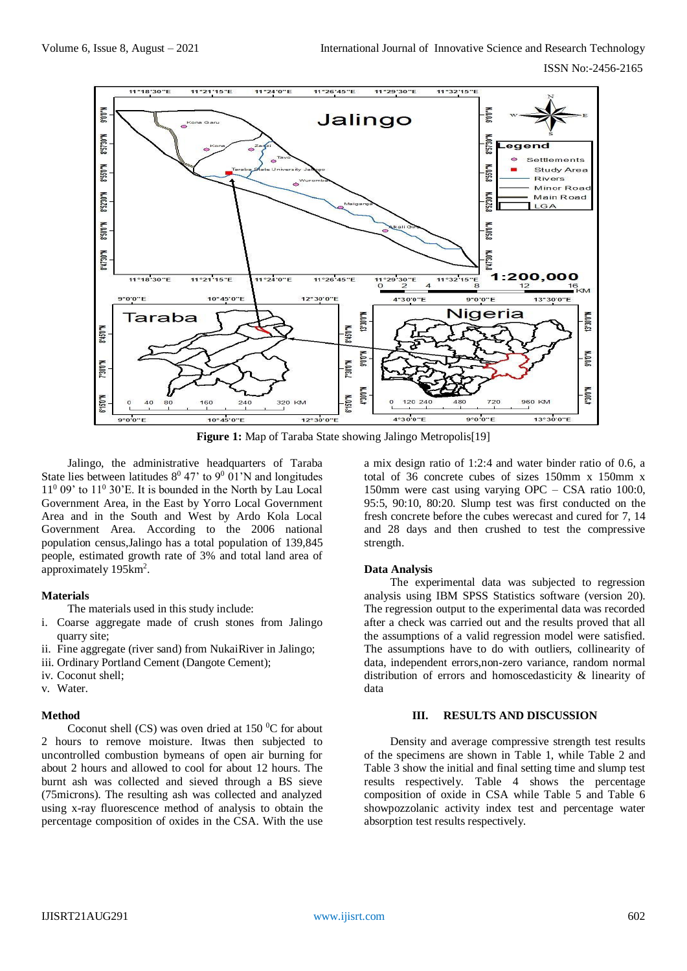ISSN No:-2456-2165



**Figure 1:** Map of Taraba State showing Jalingo Metropolis<sup>[19]</sup>

Jalingo, the administrative headquarters of Taraba State lies between latitudes  $8^0$  47' to  $9^0$  01'N and longitudes  $11<sup>0</sup>$  09' to  $11<sup>0</sup>$  30'E. It is bounded in the North by Lau Local Government Area, in the East by Yorro Local Government Area and in the South and West by Ardo Kola Local Government Area. According to the 2006 national population census,Jalingo has a total population of 139,845 people, estimated growth rate of 3% and total land area of approximately 195km<sup>2</sup>.

## **Materials**

The materials used in this study include:

- i. Coarse aggregate made of crush stones from Jalingo quarry site;
- ii. Fine aggregate (river sand) from NukaiRiver in Jalingo;
- iii. Ordinary Portland Cement (Dangote Cement);
- iv. Coconut shell;
- v. Water.

## **Method**

Coconut shell (CS) was oven dried at 150 $\mathrm{^{0}C}$  for about 2 hours to remove moisture. Itwas then subjected to uncontrolled combustion bymeans of open air burning for about 2 hours and allowed to cool for about 12 hours. The burnt ash was collected and sieved through a BS sieve (75microns). The resulting ash was collected and analyzed using x-ray fluorescence method of analysis to obtain the percentage composition of oxides in the CSA. With the use

a mix design ratio of 1:2:4 and water binder ratio of 0.6, a total of 36 concrete cubes of sizes 150mm x 150mm x 150mm were cast using varying OPC – CSA ratio 100:0, 95:5, 90:10, 80:20. Slump test was first conducted on the fresh concrete before the cubes werecast and cured for 7, 14 and 28 days and then crushed to test the compressive strength.

## **Data Analysis**

The experimental data was subjected to regression analysis using IBM SPSS Statistics software (version 20). The regression output to the experimental data was recorded after a check was carried out and the results proved that all the assumptions of a valid regression model were satisfied. The assumptions have to do with outliers, collinearity of data, independent errors,non-zero variance, random normal distribution of errors and homoscedasticity & linearity of data

#### **III. RESULTS AND DISCUSSION**

Density and average compressive strength test results of the specimens are shown in Table 1, while Table 2 and Table 3 show the initial and final setting time and slump test results respectively. Table 4 shows the percentage composition of oxide in CSA while Table 5 and Table 6 showpozzolanic activity index test and percentage water absorption test results respectively.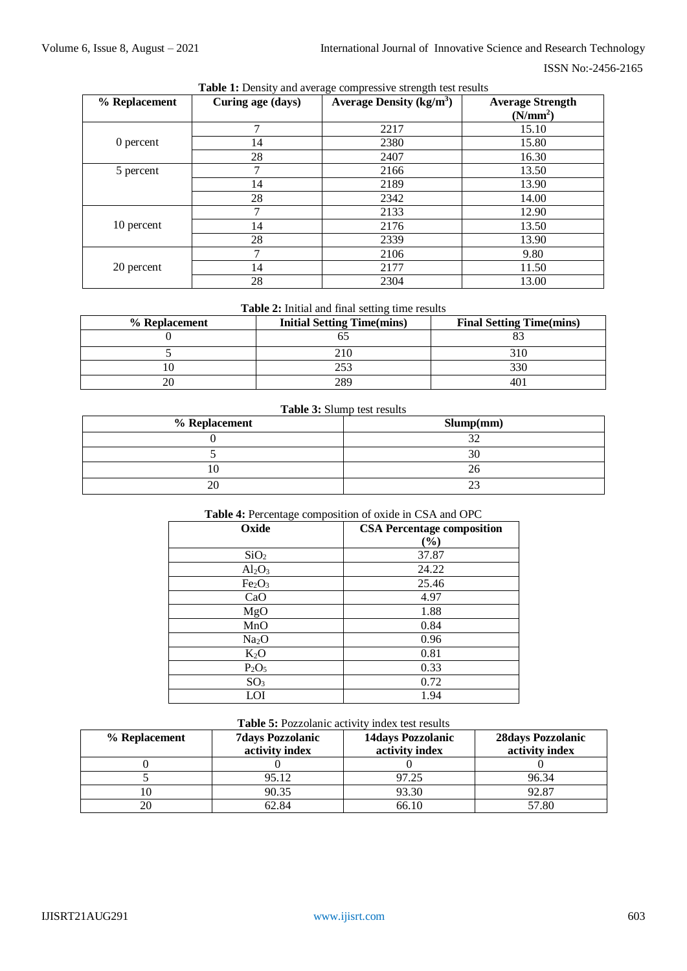| % Replacement | Curing age (days) | <b>Average Density (kg/m<sup>3</sup>)</b> | <b>Average Strength</b><br>(N/mm <sup>2</sup> ) |
|---------------|-------------------|-------------------------------------------|-------------------------------------------------|
|               | 7                 | 2217                                      | 15.10                                           |
| 0 percent     | 14                | 2380                                      | 15.80                                           |
|               | 28                | 2407                                      | 16.30                                           |
| 5 percent     | 7                 | 2166                                      | 13.50                                           |
|               | 14                | 2189                                      | 13.90                                           |
|               | 28                | 2342                                      | 14.00                                           |
|               | 7                 | 2133                                      | 12.90                                           |
| 10 percent    | 14                | 2176                                      | 13.50                                           |
|               | 28                | 2339                                      | 13.90                                           |
|               |                   | 2106                                      | 9.80                                            |
| 20 percent    | 14                | 2177                                      | 11.50                                           |
|               | 28                | 2304                                      | 13.00                                           |

# **Table 1:** Density and average compressive strength test results

# **Table 2:** Initial and final setting time results

| % Replacement | <b>Initial Setting Time(mins)</b> | <b>Final Setting Time(mins)</b> |
|---------------|-----------------------------------|---------------------------------|
|               |                                   |                                 |
|               |                                   |                                 |
|               |                                   | 330                             |
|               |                                   |                                 |

# **Table 3:** Slump test results

| % Replacement | Slump(mm) |
|---------------|-----------|
|               |           |
|               |           |
|               |           |
| or            |           |

# **Table 4:** Percentage composition of oxide in CSA and OPC

| Oxide                          | <b>CSA Percentage composition</b> |
|--------------------------------|-----------------------------------|
|                                | $(\%)$                            |
| SiO <sub>2</sub>               | 37.87                             |
| $Al_2O_3$                      | 24.22                             |
| Fe <sub>2</sub> O <sub>3</sub> | 25.46                             |
| CaO                            | 4.97                              |
| MgO                            | 1.88                              |
| MnO                            | 0.84                              |
| Na <sub>2</sub> O              | 0.96                              |
| $K_2O$                         | 0.81                              |
| $P_2O_5$                       | 0.33                              |
| SO <sub>3</sub>                | 0.72                              |
| LOI                            | 1.94                              |

## **Table 5:** Pozzolanic activity index test results

| % Replacement | <b>7days Pozzolanic</b><br>activity index | <b>14days Pozzolanic</b><br>activity index | 28days Pozzolanic<br>activity index |
|---------------|-------------------------------------------|--------------------------------------------|-------------------------------------|
|               |                                           |                                            |                                     |
|               | 95.12                                     | 97.25                                      | 96.34                               |
|               | 90.35                                     | 93.30                                      | 92.87                               |
|               | 62.84                                     | 66.10                                      | 57.80                               |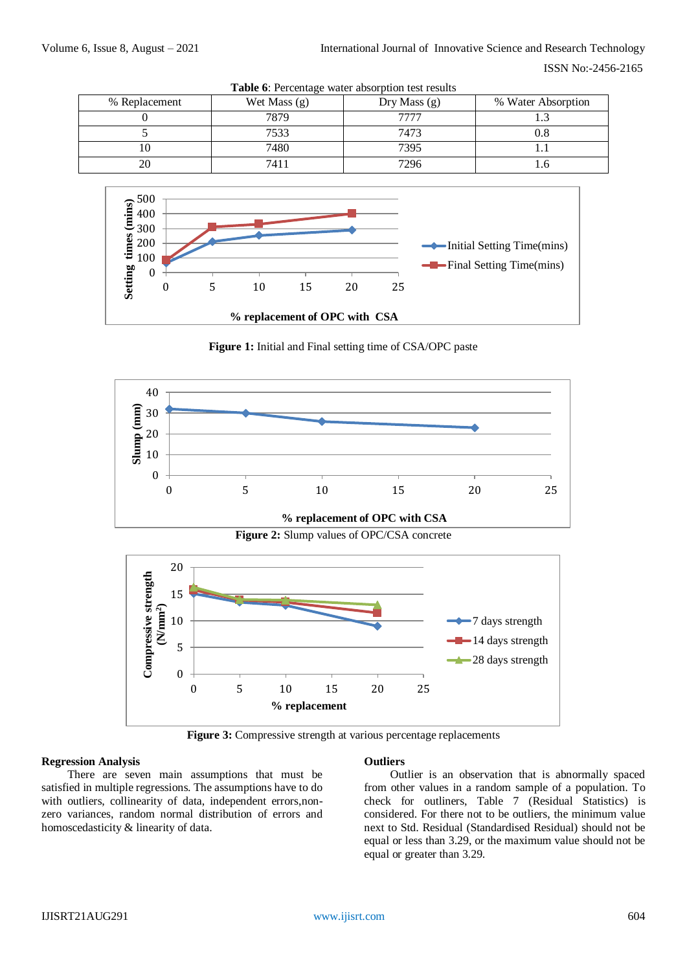|               | <b>Table 0.</b> Felectriage water absorption test results |                |                    |  |  |  |  |  |
|---------------|-----------------------------------------------------------|----------------|--------------------|--|--|--|--|--|
| % Replacement | Wet Mass $(g)$                                            | Dry Mass $(g)$ | % Water Absorption |  |  |  |  |  |
|               | 7879                                                      | 7777           |                    |  |  |  |  |  |
|               | 7533                                                      | 7473           |                    |  |  |  |  |  |
|               | 7480                                                      | 7395           |                    |  |  |  |  |  |
| 20            | 7411                                                      | 7296           |                    |  |  |  |  |  |

**Table 6**: Percentage water absorption test results



**Figure 1:** Initial and Final setting time of CSA/OPC paste





**Figure 3:** Compressive strength at various percentage replacements

#### **Regression Analysis**

There are seven main assumptions that must be satisfied in multiple regressions. The assumptions have to do with outliers, collinearity of data, independent errors,nonzero variances, random normal distribution of errors and homoscedasticity & linearity of data.

#### **Outliers**

Outlier is an observation that is abnormally spaced from other values in a random sample of a population. To check for outliners, Table 7 (Residual Statistics) is considered. For there not to be outliers, the minimum value next to Std. Residual (Standardised Residual) should not be equal or less than 3.29, or the maximum value should not be equal or greater than 3.29.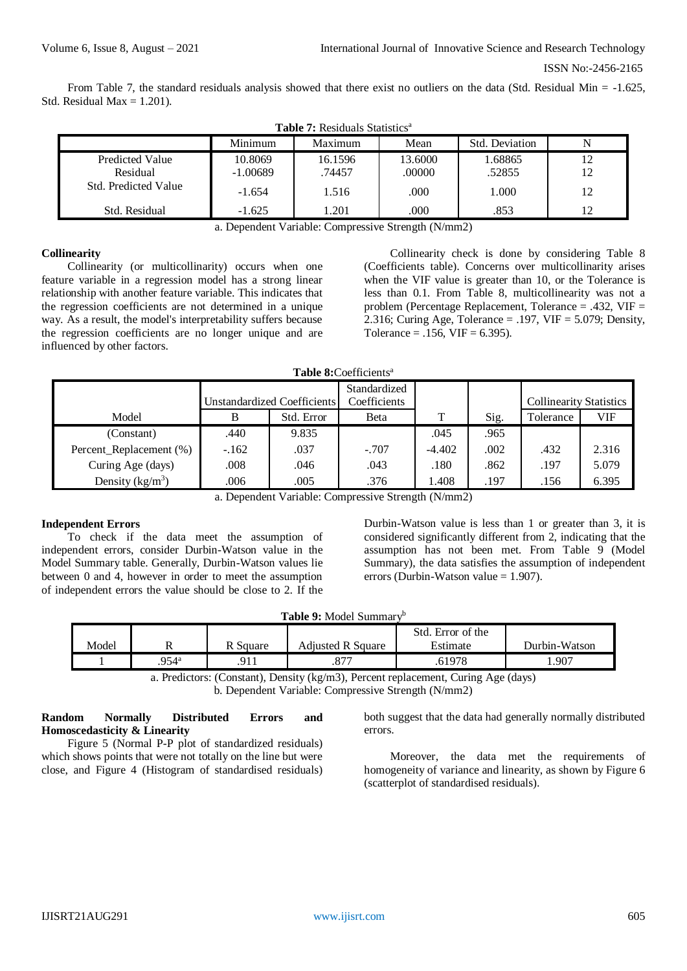From Table 7, the standard residuals analysis showed that there exist no outliers on the data (Std. Residual Min  $= -1.625$ , Std. Residual Max  $= 1.201$ ).

| <b>Table 7: Residuals Statistics</b> |            |         |         |                       |    |  |
|--------------------------------------|------------|---------|---------|-----------------------|----|--|
|                                      | Minimum    | Maximum | Mean    | <b>Std.</b> Deviation |    |  |
| <b>Predicted Value</b>               | 10.8069    | 16.1596 | 13.6000 | 1.68865               | 12 |  |
| Residual                             | $-1.00689$ | .74457  | .00000  | .52855                | 12 |  |
| <b>Std. Predicted Value</b>          | $-1.654$   | 1.516   | .000    | 1.000                 | 12 |  |
| Std. Residual                        | $-1.625$   | 1.201   | .000    | .853                  | 12 |  |

**Table 7:** Residuals Statistics<sup>a</sup>

a. Dependent Variable: Compressive Strength (N/mm2)

## **Collinearity**

Collinearity (or multicollinarity) occurs when one feature variable in a regression model has a strong linear relationship with another feature variable. This indicates that the regression coefficients are not determined in a unique way. As a result, the model's interpretability suffers because the regression coefficients are no longer unique and are influenced by other factors.

Collinearity check is done by considering Table 8 (Coefficients table). Concerns over multicollinarity arises when the VIF value is greater than 10, or the Tolerance is less than 0.1. From Table 8, multicollinearity was not a problem (Percentage Replacement, Tolerance = .432, VIF = 2.316; Curing Age, Tolerance = .197, VIF = 5.079; Density, Tolerance =  $.156$ , VIF = 6.395).

| Table 8: Coefficients <sup>a</sup> |
|------------------------------------|
|------------------------------------|

|                         |        | Unstandardized Coefficients | Standardized<br>Coefficients |          |      | <b>Collinearity Statistics</b> |       |
|-------------------------|--------|-----------------------------|------------------------------|----------|------|--------------------------------|-------|
| Model                   | B      | Std. Error                  | Beta                         | т        | Sig. | Tolerance                      | VIF   |
| (Constant)              | .440   | 9.835                       |                              | .045     | .965 |                                |       |
| Percent_Replacement (%) | $-162$ | .037                        | $-.707$                      | $-4.402$ | .002 | .432                           | 2.316 |
| Curing Age (days)       | .008   | .046                        | .043                         | .180     | .862 | .197                           | 5.079 |
| Density $(kg/m^3)$      | .006   | .005                        | .376                         | l.408    | .197 | .156                           | 6.395 |

a. Dependent Variable: Compressive Strength (N/mm2)

## **Independent Errors**

To check if the data meet the assumption of independent errors, consider Durbin-Watson value in the Model Summary table. Generally, Durbin-Watson values lie between 0 and 4, however in order to meet the assumption of independent errors the value should be close to 2. If the

Durbin-Watson value is less than 1 or greater than 3, it is considered significantly different from 2, indicating that the assumption has not been met. From Table 9 (Model Summary), the data satisfies the assumption of independent errors (Durbin-Watson value  $= 1.907$ ).

|  |  |  |  | Table 9: Model Summary <sup>b</sup> |  |
|--|--|--|--|-------------------------------------|--|
|--|--|--|--|-------------------------------------|--|

|       |                     |            |                   | Std. Error of the |               |
|-------|---------------------|------------|-------------------|-------------------|---------------|
| Model | v                   | Square     | Adiusted R Sauare | Estimate          | Durbin-Watson |
|       | $.954$ <sup>a</sup> | O 1 1<br>. | 077<br>.o/        | 51978             | 1.907         |

a. Predictors: (Constant), Density (kg/m3), Percent replacement, Curing Age (days) b. Dependent Variable: Compressive Strength (N/mm2)

## **Random Normally Distributed Errors and Homoscedasticity & Linearity**

Figure 5 (Normal P-P plot of standardized residuals) which shows points that were not totally on the line but were close, and Figure 4 (Histogram of standardised residuals)

both suggest that the data had generally normally distributed errors.

Moreover, the data met the requirements of homogeneity of variance and linearity, as shown by Figure 6 (scatterplot of standardised residuals).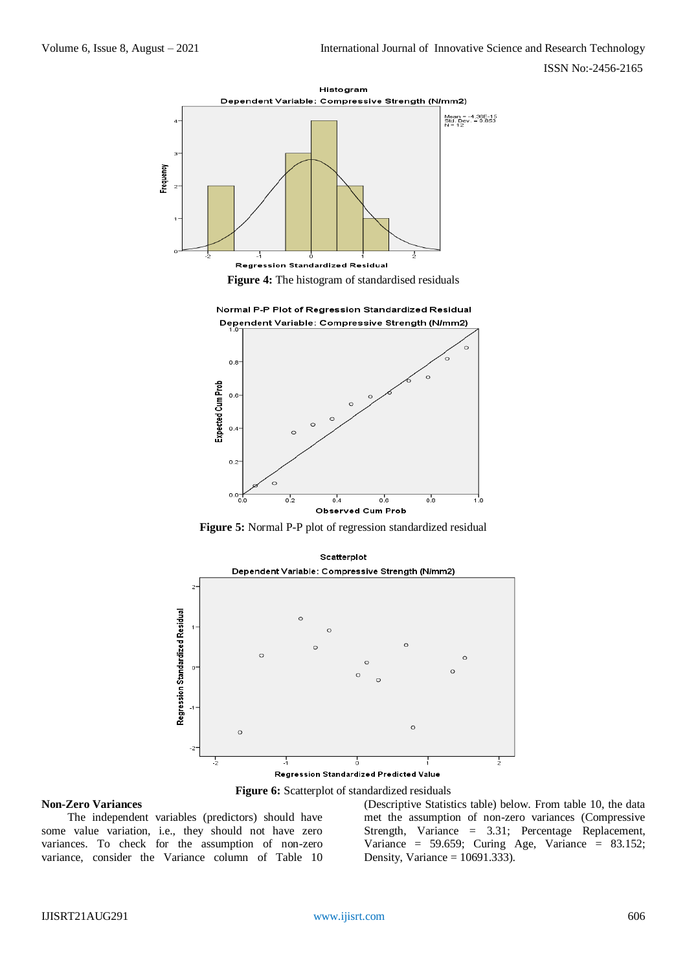







**Figure 6:** Scatterplot of standardized residuals

#### **Non-Zero Variances**

The independent variables (predictors) should have some value variation, i.e., they should not have zero variances. To check for the assumption of non-zero variance, consider the Variance column of Table 10 (Descriptive Statistics table) below. From table 10, the data met the assumption of non-zero variances (Compressive Strength, Variance = 3.31; Percentage Replacement, Variance =  $59.659$ ; Curing Age, Variance =  $83.152$ ; Density, Variance =  $10691.333$ ).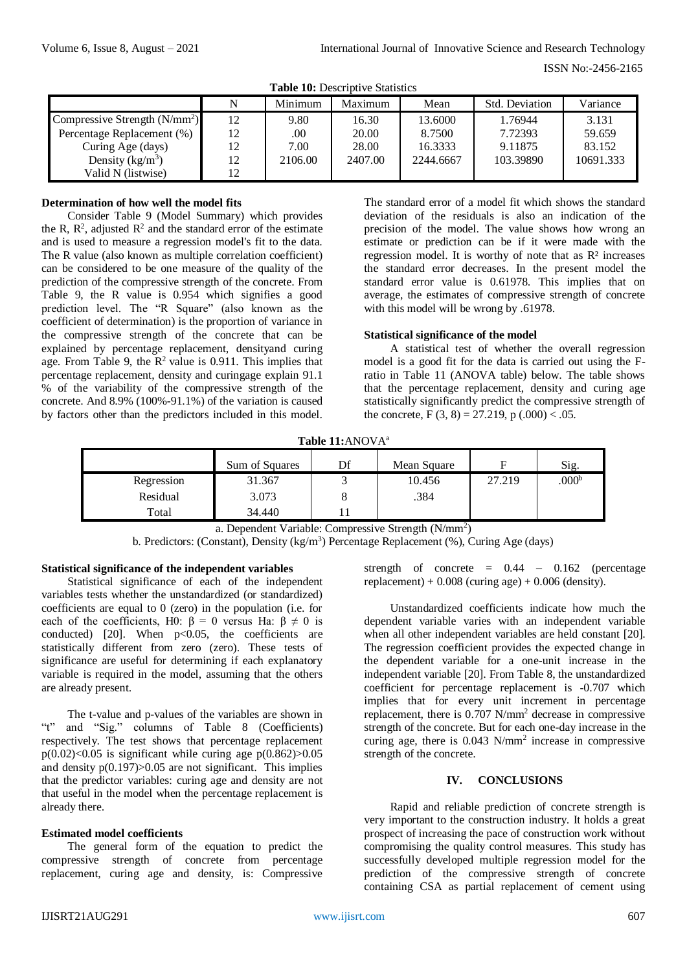|                                 |    |         | <b>Table To:</b> Describitive Blatistics |           |                |           |
|---------------------------------|----|---------|------------------------------------------|-----------|----------------|-----------|
|                                 |    | Minimum | Maximum                                  | Mean      | Std. Deviation | Variance  |
| Compressive Strength $(N/mm^2)$ | 12 | 9.80    | 16.30                                    | 13.6000   | 1.76944        | 3.131     |
| Percentage Replacement (%)      | 12 | .00     | 20.00                                    | 8.7500    | 7.72393        | 59.659    |
| Curing Age (days)               | 12 | 7.00    | 28.00                                    | 16.3333   | 9.11875        | 83.152    |
| Density $(kg/m^3)$              | 12 | 2106.00 | 2407.00                                  | 2244.6667 | 103.39890      | 10691.333 |
| Valid N (listwise)              | 12 |         |                                          |           |                |           |

**Table 10:** Descriptive Statistics

#### **Determination of how well the model fits**

Consider Table 9 (Model Summary) which provides the R,  $\mathbb{R}^2$ , adjusted  $\mathbb{R}^2$  and the standard error of the estimate and is used to measure a regression model's fit to the data. The R value (also known as multiple correlation coefficient) can be considered to be one measure of the quality of the prediction of the compressive strength of the concrete. From Table 9, the R value is 0.954 which signifies a good prediction level. The "R Square" (also known as the coefficient of determination) is the proportion of variance in the compressive strength of the concrete that can be explained by percentage replacement, densityand curing age. From Table 9, the  $\overline{R}^2$  value is 0.911. This implies that percentage replacement, density and curingage explain 91.1 % of the variability of the compressive strength of the concrete. And 8.9% (100%-91.1%) of the variation is caused by factors other than the predictors included in this model.

The standard error of a model fit which shows the standard deviation of the residuals is also an indication of the precision of the model. The value shows how wrong an estimate or prediction can be if it were made with the regression model. It is worthy of note that as R² increases the standard error decreases. In the present model the standard error value is 0.61978. This implies that on average, the estimates of compressive strength of concrete with this model will be wrong by .61978.

# **Statistical significance of the model**

A statistical test of whether the overall regression model is a good fit for the data is carried out using the Fratio in Table 11 (ANOVA table) below. The table shows that the percentage replacement, density and curing age statistically significantly predict the compressive strength of the concrete, F  $(3, 8) = 27.219$ , p  $(.000) < .05$ .

**Table 11:**ANOVA<sup>a</sup>

|            | Sum of Squares | Df | Mean Square | F      | Sig.             |
|------------|----------------|----|-------------|--------|------------------|
| Regression | 31.367         |    | 10.456      | 27.219 | 000 <sup>b</sup> |
| Residual   | 3.073          |    | .384        |        |                  |
| Total      | 34.440         |    |             |        |                  |

a. Dependent Variable: Compressive Strength (N/mm<sup>2</sup>)

b. Predictors: (Constant), Density (kg/m<sup>3</sup>) Percentage Replacement (%), Curing Age (days)

#### **Statistical significance of the independent variables**

Statistical significance of each of the independent variables tests whether the unstandardized (or standardized) coefficients are equal to 0 (zero) in the population (i.e. for each of the coefficients, H0:  $\beta = 0$  versus Ha:  $\beta \neq 0$  is conducted) [20]. When  $p<0.05$ , the coefficients are statistically different from zero (zero). These tests of significance are useful for determining if each explanatory variable is required in the model, assuming that the others are already present.

The t-value and p-values of the variables are shown in "t" and "Sig." columns of Table 8 (Coefficients) respectively. The test shows that percentage replacement p(0.02)<0.05 is significant while curing age  $p(0.862) > 0.05$ and density  $p(0.197) > 0.05$  are not significant. This implies that the predictor variables: curing age and density are not that useful in the model when the percentage replacement is already there.

#### **Estimated model coefficients**

The general form of the equation to predict the compressive strength of concrete from percentage replacement, curing age and density, is: Compressive

strength of concrete  $= 0.44 - 0.162$  (percentage replacement) +  $0.008$  (curing age) +  $0.006$  (density).

Unstandardized coefficients indicate how much the dependent variable varies with an independent variable when all other independent variables are held constant [20]. The regression coefficient provides the expected change in the dependent variable for a one-unit increase in the independent variable [20]. From Table 8, the unstandardized coefficient for percentage replacement is -0.707 which implies that for every unit increment in percentage replacement, there is 0.707 N/mm<sup>2</sup> decrease in compressive strength of the concrete. But for each one-day increase in the curing age, there is 0.043 N/mm<sup>2</sup> increase in compressive strength of the concrete.

## **IV. CONCLUSIONS**

Rapid and reliable prediction of concrete strength is very important to the construction industry. It holds a great prospect of increasing the pace of construction work without compromising the quality control measures. This study has successfully developed multiple regression model for the prediction of the compressive strength of concrete containing CSA as partial replacement of cement using